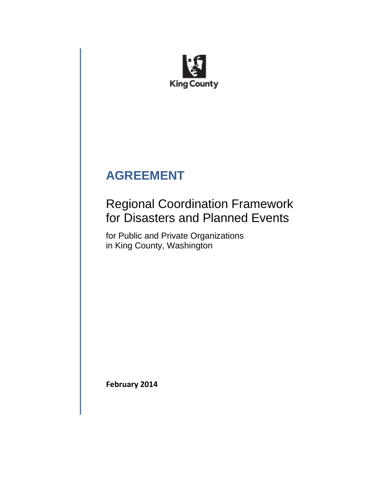

# **AGREEMENT**

## Regional Coordination Framework for Disasters and Planned Events

for Public and Private Organizations in King County, Washington

**February 2014**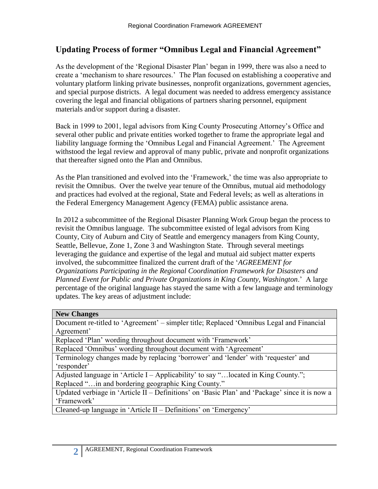## **Updating Process of former "Omnibus Legal and Financial Agreement"**

As the development of the 'Regional Disaster Plan' began in 1999, there was also a need to create a 'mechanism to share resources.' The Plan focused on establishing a cooperative and voluntary platform linking private businesses, nonprofit organizations, government agencies, and special purpose districts. A legal document was needed to address emergency assistance covering the legal and financial obligations of partners sharing personnel, equipment materials and/or support during a disaster.

Back in 1999 to 2001, legal advisors from King County Prosecuting Attorney's Office and several other public and private entities worked together to frame the appropriate legal and liability language forming the 'Omnibus Legal and Financial Agreement.' The Agreement withstood the legal review and approval of many public, private and nonprofit organizations that thereafter signed onto the Plan and Omnibus.

As the Plan transitioned and evolved into the 'Framework,' the time was also appropriate to revisit the Omnibus. Over the twelve year tenure of the Omnibus, mutual aid methodology and practices had evolved at the regional, State and Federal levels; as well as alterations in the Federal Emergency Management Agency (FEMA) public assistance arena.

In 2012 a subcommittee of the Regional Disaster Planning Work Group began the process to revisit the Omnibus language. The subcommittee existed of legal advisors from King County, City of Auburn and City of Seattle and emergency managers from King County, Seattle, Bellevue, Zone 1, Zone 3 and Washington State. Through several meetings leveraging the guidance and expertise of the legal and mutual aid subject matter experts involved, the subcommittee finalized the current draft of the '*AGREEMENT for Organizations Participating in the Regional Coordination Framework for Disasters and Planned Event for Public and Private Organizations in King County, Washington*.' A large percentage of the original language has stayed the same with a few language and terminology updates. The key areas of adjustment include:

#### **New Changes**

Document re-titled to 'Agreement' – simpler title; Replaced 'Omnibus Legal and Financial Agreement'

Replaced 'Plan' wording throughout document with 'Framework'

Replaced 'Omnibus' wording throughout document with 'Agreement'

Terminology changes made by replacing 'borrower' and 'lender' with 'requester' and 'responder'

Adjusted language in 'Article I – Applicability' to say "... located in King County."; Replaced "…in and bordering geographic King County."

Updated verbiage in 'Article II – Definitions' on 'Basic Plan' and 'Package' since it is now a 'Framework'

Cleaned-up language in 'Article II – Definitions' on 'Emergency'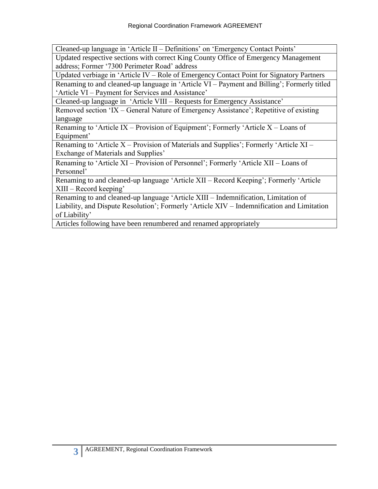Cleaned-up language in 'Article II – Definitions' on 'Emergency Contact Points'

Updated respective sections with correct King County Office of Emergency Management address; Former '7300 Perimeter Road' address

Updated verbiage in 'Article IV – Role of Emergency Contact Point for Signatory Partners Renaming to and cleaned-up language in 'Article VI – Payment and Billing'; Formerly titled 'Article VI – Payment for Services and Assistance'

Cleaned-up language in 'Article VIII – Requests for Emergency Assistance'

Removed section 'IX – General Nature of Emergency Assistance'; Repetitive of existing language

Renaming to 'Article IX – Provision of Equipment'; Formerly 'Article X – Loans of Equipment'

Renaming to 'Article  $X$  – Provision of Materials and Supplies'; Formerly 'Article  $XI$  – Exchange of Materials and Supplies'

Renaming to 'Article XI – Provision of Personnel'; Formerly 'Article XII – Loans of Personnel'

Renaming to and cleaned-up language 'Article XII – Record Keeping'; Formerly 'Article XIII – Record keeping'

Renaming to and cleaned-up language 'Article XIII – Indemnification, Limitation of Liability, and Dispute Resolution'; Formerly 'Article XIV – Indemnification and Limitation of Liability'

Articles following have been renumbered and renamed appropriately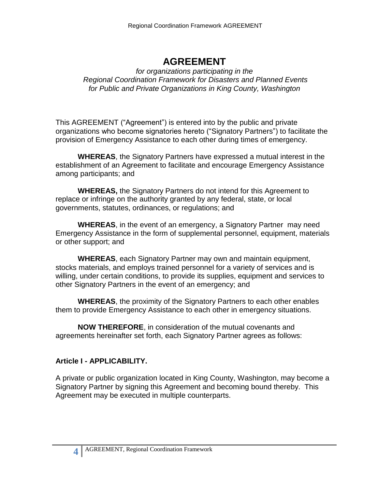## **AGREEMENT**

#### *for organizations participating in the Regional Coordination Framework for Disasters and Planned Events for Public and Private Organizations in King County, Washington*

This AGREEMENT ("Agreement") is entered into by the public and private organizations who become signatories hereto ("Signatory Partners") to facilitate the provision of Emergency Assistance to each other during times of emergency.

**WHEREAS**, the Signatory Partners have expressed a mutual interest in the establishment of an Agreement to facilitate and encourage Emergency Assistance among participants; and

**WHEREAS,** the Signatory Partners do not intend for this Agreement to replace or infringe on the authority granted by any federal, state, or local governments, statutes, ordinances, or regulations; and

**WHEREAS**, in the event of an emergency, a Signatory Partner may need Emergency Assistance in the form of supplemental personnel, equipment, materials or other support; and

**WHEREAS**, each Signatory Partner may own and maintain equipment, stocks materials, and employs trained personnel for a variety of services and is willing, under certain conditions, to provide its supplies, equipment and services to other Signatory Partners in the event of an emergency; and

**WHEREAS**, the proximity of the Signatory Partners to each other enables them to provide Emergency Assistance to each other in emergency situations.

**NOW THEREFORE**, in consideration of the mutual covenants and agreements hereinafter set forth, each Signatory Partner agrees as follows:

## **Article I - APPLICABILITY.**

A private or public organization located in King County, Washington, may become a Signatory Partner by signing this Agreement and becoming bound thereby. This Agreement may be executed in multiple counterparts.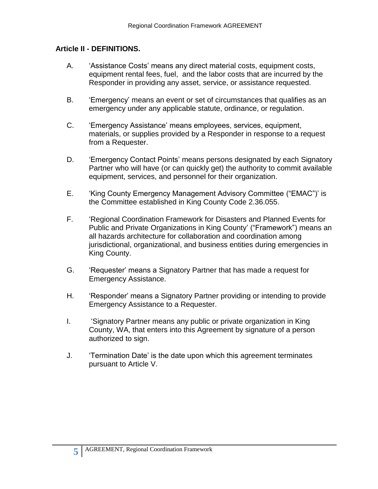### **Article II - DEFINITIONS.**

- A. 'Assistance Costs' means any direct material costs, equipment costs, equipment rental fees, fuel, and the labor costs that are incurred by the Responder in providing any asset, service, or assistance requested.
- B. 'Emergency' means an event or set of circumstances that qualifies as an emergency under any applicable statute, ordinance, or regulation.
- C. 'Emergency Assistance' means employees, services, equipment, materials, or supplies provided by a Responder in response to a request from a Requester.
- D. 'Emergency Contact Points' means persons designated by each Signatory Partner who will have (or can quickly get) the authority to commit available equipment, services, and personnel for their organization.
- E. 'King County Emergency Management Advisory Committee ("EMAC")' is the Committee established in King County Code 2.36.055.
- F. 'Regional Coordination Framework for Disasters and Planned Events for Public and Private Organizations in King County' ("Framework") means an all hazards architecture for collaboration and coordination among jurisdictional, organizational, and business entities during emergencies in King County.
- G. 'Requester' means a Signatory Partner that has made a request for Emergency Assistance.
- H. 'Responder' means a Signatory Partner providing or intending to provide Emergency Assistance to a Requester.
- I. 'Signatory Partner means any public or private organization in King County, WA, that enters into this Agreement by signature of a person authorized to sign.
- J. 'Termination Date' is the date upon which this agreement terminates pursuant to Article V.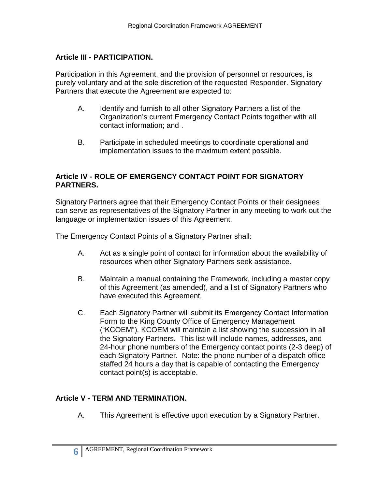### **Article III - PARTICIPATION.**

Participation in this Agreement, and the provision of personnel or resources, is purely voluntary and at the sole discretion of the requested Responder. Signatory Partners that execute the Agreement are expected to:

- A. Identify and furnish to all other Signatory Partners a list of the Organization's current Emergency Contact Points together with all contact information; and .
- B. Participate in scheduled meetings to coordinate operational and implementation issues to the maximum extent possible.

#### **Article IV - ROLE OF EMERGENCY CONTACT POINT FOR SIGNATORY PARTNERS.**

Signatory Partners agree that their Emergency Contact Points or their designees can serve as representatives of the Signatory Partner in any meeting to work out the language or implementation issues of this Agreement.

The Emergency Contact Points of a Signatory Partner shall:

- A. Act as a single point of contact for information about the availability of resources when other Signatory Partners seek assistance.
- B. Maintain a manual containing the Framework, including a master copy of this Agreement (as amended), and a list of Signatory Partners who have executed this Agreement.
- C. Each Signatory Partner will submit its Emergency Contact Information Form to the King County Office of Emergency Management ("KCOEM"). KCOEM will maintain a list showing the succession in all the Signatory Partners. This list will include names, addresses, and 24-hour phone numbers of the Emergency contact points (2-3 deep) of each Signatory Partner. Note: the phone number of a dispatch office staffed 24 hours a day that is capable of contacting the Emergency contact point(s) is acceptable.

## **Article V - TERM AND TERMINATION.**

A. This Agreement is effective upon execution by a Signatory Partner.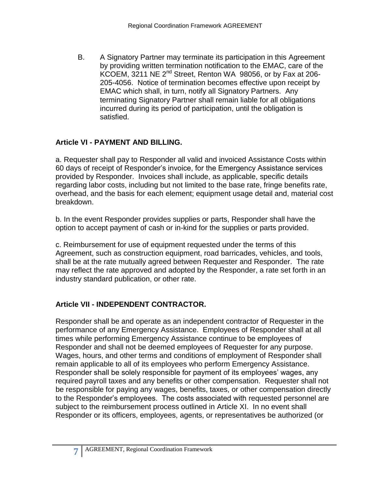B. A Signatory Partner may terminate its participation in this Agreement by providing written termination notification to the EMAC, care of the KCOEM, 3211 NE  $2^{nd}$  Street, Renton WA 98056, or by Fax at 206-205-4056. Notice of termination becomes effective upon receipt by EMAC which shall, in turn, notify all Signatory Partners. Any terminating Signatory Partner shall remain liable for all obligations incurred during its period of participation, until the obligation is satisfied.

## **Article VI - PAYMENT AND BILLING.**

a. Requester shall pay to Responder all valid and invoiced Assistance Costs within 60 days of receipt of Responder's invoice, for the Emergency Assistance services provided by Responder. Invoices shall include, as applicable, specific details regarding labor costs, including but not limited to the base rate, fringe benefits rate, overhead, and the basis for each element; equipment usage detail and, material cost breakdown.

b. In the event Responder provides supplies or parts, Responder shall have the option to accept payment of cash or in-kind for the supplies or parts provided.

c. Reimbursement for use of equipment requested under the terms of this Agreement, such as construction equipment, road barricades, vehicles, and tools, shall be at the rate mutually agreed between Requester and Responder. The rate may reflect the rate approved and adopted by the Responder, a rate set forth in an industry standard publication, or other rate.

## **Article VII - INDEPENDENT CONTRACTOR.**

Responder shall be and operate as an independent contractor of Requester in the performance of any Emergency Assistance. Employees of Responder shall at all times while performing Emergency Assistance continue to be employees of Responder and shall not be deemed employees of Requester for any purpose. Wages, hours, and other terms and conditions of employment of Responder shall remain applicable to all of its employees who perform Emergency Assistance. Responder shall be solely responsible for payment of its employees' wages, any required payroll taxes and any benefits or other compensation. Requester shall not be responsible for paying any wages, benefits, taxes, or other compensation directly to the Responder's employees. The costs associated with requested personnel are subject to the reimbursement process outlined in Article XI. In no event shall Responder or its officers, employees, agents, or representatives be authorized (or

**7**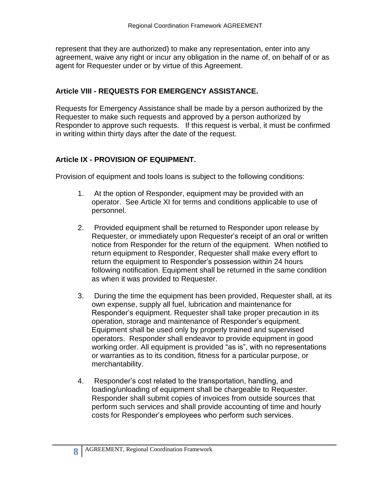represent that they are authorized) to make any representation, enter into any agreement, waive any right or incur any obligation in the name of, on behalf of or as agent for Requester under or by virtue of this Agreement.

#### **Article VIII - REQUESTS FOR EMERGENCY ASSISTANCE.**

Requests for Emergency Assistance shall be made by a person authorized by the Requester to make such requests and approved by a person authorized by Responder to approve such requests. If this request is verbal, it must be confirmed in writing within thirty days after the date of the request.

#### **Article IX - PROVISION OF EQUIPMENT.**

Provision of equipment and tools loans is subject to the following conditions:

- 1. At the option of Responder, equipment may be provided with an operator. See Article XI for terms and conditions applicable to use of personnel.
- 2. Provided equipment shall be returned to Responder upon release by Requester, or immediately upon Requester's receipt of an oral or written notice from Responder for the return of the equipment. When notified to return equipment to Responder, Requester shall make every effort to return the equipment to Responder's possession within 24 hours following notification. Equipment shall be returned in the same condition as when it was provided to Requester.
- 3. During the time the equipment has been provided, Requester shall, at its own expense, supply all fuel, lubrication and maintenance for Responder's equipment. Requester shall take proper precaution in its operation, storage and maintenance of Responder's equipment. Equipment shall be used only by properly trained and supervised operators. Responder shall endeavor to provide equipment in good working order. All equipment is provided "as is", with no representations or warranties as to its condition, fitness for a particular purpose, or merchantability.
- 4. Responder's cost related to the transportation, handling, and loading/unloading of equipment shall be chargeable to Requester. Responder shall submit copies of invoices from outside sources that perform such services and shall provide accounting of time and hourly costs for Responder's employees who perform such services.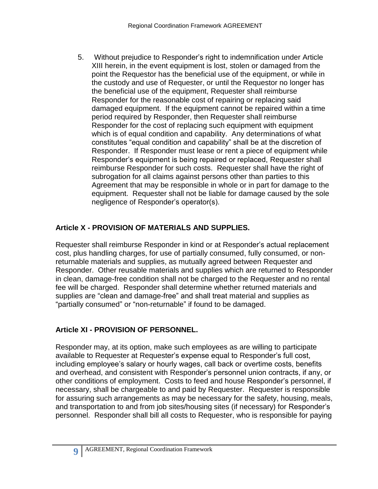5. Without prejudice to Responder's right to indemnification under Article XIII herein, in the event equipment is lost, stolen or damaged from the point the Requestor has the beneficial use of the equipment, or while in the custody and use of Requester, or until the Requestor no longer has the beneficial use of the equipment, Requester shall reimburse Responder for the reasonable cost of repairing or replacing said damaged equipment. If the equipment cannot be repaired within a time period required by Responder, then Requester shall reimburse Responder for the cost of replacing such equipment with equipment which is of equal condition and capability. Any determinations of what constitutes "equal condition and capability" shall be at the discretion of Responder. If Responder must lease or rent a piece of equipment while Responder's equipment is being repaired or replaced, Requester shall reimburse Responder for such costs. Requester shall have the right of subrogation for all claims against persons other than parties to this Agreement that may be responsible in whole or in part for damage to the equipment. Requester shall not be liable for damage caused by the sole negligence of Responder's operator(s).

## **Article X - PROVISION OF MATERIALS AND SUPPLIES.**

Requester shall reimburse Responder in kind or at Responder's actual replacement cost, plus handling charges, for use of partially consumed, fully consumed, or nonreturnable materials and supplies, as mutually agreed between Requester and Responder. Other reusable materials and supplies which are returned to Responder in clean, damage-free condition shall not be charged to the Requester and no rental fee will be charged. Responder shall determine whether returned materials and supplies are "clean and damage-free" and shall treat material and supplies as "partially consumed" or "non-returnable" if found to be damaged.

## **Article XI - PROVISION OF PERSONNEL.**

Responder may, at its option, make such employees as are willing to participate available to Requester at Requester's expense equal to Responder's full cost, including employee's salary or hourly wages, call back or overtime costs, benefits and overhead, and consistent with Responder's personnel union contracts, if any, or other conditions of employment. Costs to feed and house Responder's personnel, if necessary, shall be chargeable to and paid by Requester. Requester is responsible for assuring such arrangements as may be necessary for the safety, housing, meals, and transportation to and from job sites/housing sites (if necessary) for Responder's personnel. Responder shall bill all costs to Requester, who is responsible for paying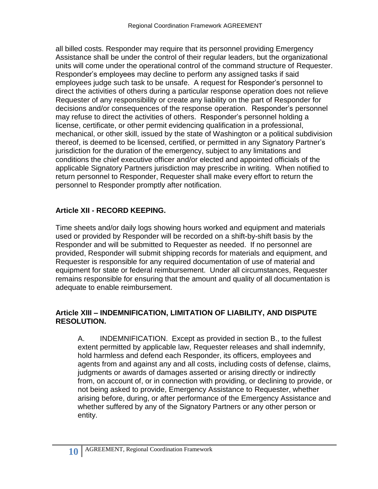all billed costs. Responder may require that its personnel providing Emergency Assistance shall be under the control of their regular leaders, but the organizational units will come under the operational control of the command structure of Requester. Responder's employees may decline to perform any assigned tasks if said employees judge such task to be unsafe. A request for Responder's personnel to direct the activities of others during a particular response operation does not relieve Requester of any responsibility or create any liability on the part of Responder for decisions and/or consequences of the response operation. Responder's personnel may refuse to direct the activities of others. Responder's personnel holding a license, certificate, or other permit evidencing qualification in a professional, mechanical, or other skill, issued by the state of Washington or a political subdivision thereof, is deemed to be licensed, certified, or permitted in any Signatory Partner's jurisdiction for the duration of the emergency, subject to any limitations and conditions the chief executive officer and/or elected and appointed officials of the applicable Signatory Partners jurisdiction may prescribe in writing. When notified to return personnel to Responder, Requester shall make every effort to return the personnel to Responder promptly after notification.

## **Article XII - RECORD KEEPING.**

Time sheets and/or daily logs showing hours worked and equipment and materials used or provided by Responder will be recorded on a shift-by-shift basis by the Responder and will be submitted to Requester as needed. If no personnel are provided, Responder will submit shipping records for materials and equipment, and Requester is responsible for any required documentation of use of material and equipment for state or federal reimbursement. Under all circumstances, Requester remains responsible for ensuring that the amount and quality of all documentation is adequate to enable reimbursement.

### **Article XIII – INDEMNIFICATION, LIMITATION OF LIABILITY, AND DISPUTE RESOLUTION.**

A. INDEMNIFICATION. Except as provided in section B., to the fullest extent permitted by applicable law, Requester releases and shall indemnify, hold harmless and defend each Responder, its officers, employees and agents from and against any and all costs, including costs of defense, claims, judgments or awards of damages asserted or arising directly or indirectly from, on account of, or in connection with providing, or declining to provide, or not being asked to provide, Emergency Assistance to Requester, whether arising before, during, or after performance of the Emergency Assistance and whether suffered by any of the Signatory Partners or any other person or entity.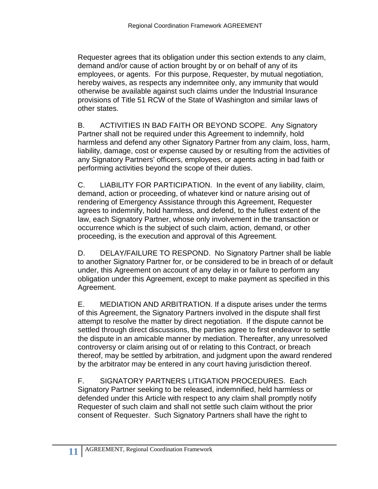Requester agrees that its obligation under this section extends to any claim, demand and/or cause of action brought by or on behalf of any of its employees, or agents. For this purpose, Requester, by mutual negotiation, hereby waives, as respects any indemnitee only, any immunity that would otherwise be available against such claims under the Industrial Insurance provisions of Title 51 RCW of the State of Washington and similar laws of other states.

B. ACTIVITIES IN BAD FAITH OR BEYOND SCOPE. Any Signatory Partner shall not be required under this Agreement to indemnify, hold harmless and defend any other Signatory Partner from any claim, loss, harm, liability, damage, cost or expense caused by or resulting from the activities of any Signatory Partners' officers, employees, or agents acting in bad faith or performing activities beyond the scope of their duties.

C. LIABILITY FOR PARTICIPATION. In the event of any liability, claim, demand, action or proceeding, of whatever kind or nature arising out of rendering of Emergency Assistance through this Agreement, Requester agrees to indemnify, hold harmless, and defend, to the fullest extent of the law, each Signatory Partner, whose only involvement in the transaction or occurrence which is the subject of such claim, action, demand, or other proceeding, is the execution and approval of this Agreement.

D. DELAY/FAILURE TO RESPOND. No Signatory Partner shall be liable to another Signatory Partner for, or be considered to be in breach of or default under, this Agreement on account of any delay in or failure to perform any obligation under this Agreement, except to make payment as specified in this Agreement.

E. MEDIATION AND ARBITRATION. If a dispute arises under the terms of this Agreement, the Signatory Partners involved in the dispute shall first attempt to resolve the matter by direct negotiation. If the dispute cannot be settled through direct discussions, the parties agree to first endeavor to settle the dispute in an amicable manner by mediation. Thereafter, any unresolved controversy or claim arising out of or relating to this Contract, or breach thereof, may be settled by arbitration, and judgment upon the award rendered by the arbitrator may be entered in any court having jurisdiction thereof.

F. SIGNATORY PARTNERS LITIGATION PROCEDURES. Each Signatory Partner seeking to be released, indemnified, held harmless or defended under this Article with respect to any claim shall promptly notify Requester of such claim and shall not settle such claim without the prior consent of Requester. Such Signatory Partners shall have the right to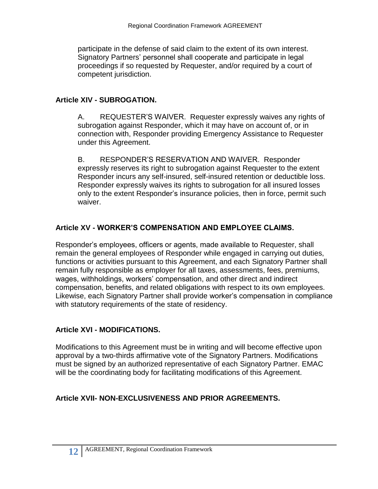participate in the defense of said claim to the extent of its own interest. Signatory Partners' personnel shall cooperate and participate in legal proceedings if so requested by Requester, and/or required by a court of competent jurisdiction.

#### **Article XIV - SUBROGATION.**

A. REQUESTER'S WAIVER. Requester expressly waives any rights of subrogation against Responder, which it may have on account of, or in connection with, Responder providing Emergency Assistance to Requester under this Agreement.

B. RESPONDER'S RESERVATION AND WAIVER. Responder expressly reserves its right to subrogation against Requester to the extent Responder incurs any self-insured, self-insured retention or deductible loss. Responder expressly waives its rights to subrogation for all insured losses only to the extent Responder's insurance policies, then in force, permit such waiver.

#### **Article XV - WORKER'S COMPENSATION AND EMPLOYEE CLAIMS.**

Responder's employees, officers or agents, made available to Requester, shall remain the general employees of Responder while engaged in carrying out duties, functions or activities pursuant to this Agreement, and each Signatory Partner shall remain fully responsible as employer for all taxes, assessments, fees, premiums, wages, withholdings, workers' compensation, and other direct and indirect compensation, benefits, and related obligations with respect to its own employees. Likewise, each Signatory Partner shall provide worker's compensation in compliance with statutory requirements of the state of residency.

#### **Article XVI - MODIFICATIONS.**

Modifications to this Agreement must be in writing and will become effective upon approval by a two-thirds affirmative vote of the Signatory Partners. Modifications must be signed by an authorized representative of each Signatory Partner. EMAC will be the coordinating body for facilitating modifications of this Agreement.

#### **Article XVII- NON-EXCLUSIVENESS AND PRIOR AGREEMENTS.**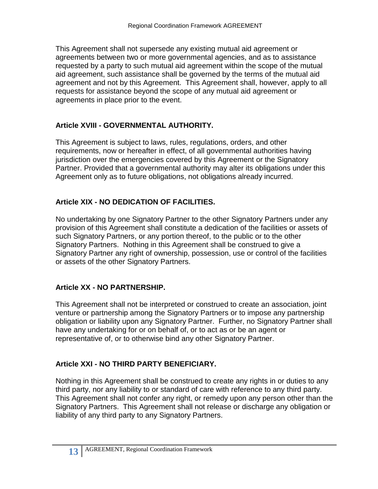This Agreement shall not supersede any existing mutual aid agreement or agreements between two or more governmental agencies, and as to assistance requested by a party to such mutual aid agreement within the scope of the mutual aid agreement, such assistance shall be governed by the terms of the mutual aid agreement and not by this Agreement. This Agreement shall, however, apply to all requests for assistance beyond the scope of any mutual aid agreement or agreements in place prior to the event.

## **Article XVIII - GOVERNMENTAL AUTHORITY.**

This Agreement is subject to laws, rules, regulations, orders, and other requirements, now or hereafter in effect, of all governmental authorities having jurisdiction over the emergencies covered by this Agreement or the Signatory Partner. Provided that a governmental authority may alter its obligations under this Agreement only as to future obligations, not obligations already incurred.

## **Article XIX - NO DEDICATION OF FACILITIES.**

No undertaking by one Signatory Partner to the other Signatory Partners under any provision of this Agreement shall constitute a dedication of the facilities or assets of such Signatory Partners, or any portion thereof, to the public or to the other Signatory Partners. Nothing in this Agreement shall be construed to give a Signatory Partner any right of ownership, possession, use or control of the facilities or assets of the other Signatory Partners.

## **Article XX - NO PARTNERSHIP.**

This Agreement shall not be interpreted or construed to create an association, joint venture or partnership among the Signatory Partners or to impose any partnership obligation or liability upon any Signatory Partner. Further, no Signatory Partner shall have any undertaking for or on behalf of, or to act as or be an agent or representative of, or to otherwise bind any other Signatory Partner.

## **Article XXI - NO THIRD PARTY BENEFICIARY.**

Nothing in this Agreement shall be construed to create any rights in or duties to any third party, nor any liability to or standard of care with reference to any third party. This Agreement shall not confer any right, or remedy upon any person other than the Signatory Partners. This Agreement shall not release or discharge any obligation or liability of any third party to any Signatory Partners.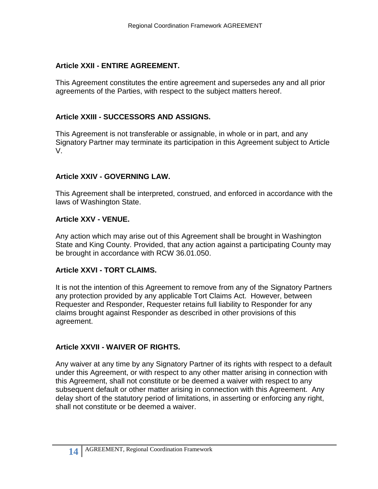#### **Article XXII - ENTIRE AGREEMENT.**

This Agreement constitutes the entire agreement and supersedes any and all prior agreements of the Parties, with respect to the subject matters hereof.

### **Article XXIII - SUCCESSORS AND ASSIGNS.**

This Agreement is not transferable or assignable, in whole or in part, and any Signatory Partner may terminate its participation in this Agreement subject to Article V.

#### **Article XXIV - GOVERNING LAW.**

This Agreement shall be interpreted, construed, and enforced in accordance with the laws of Washington State.

#### **Article XXV - VENUE.**

Any action which may arise out of this Agreement shall be brought in Washington State and King County. Provided, that any action against a participating County may be brought in accordance with RCW 36.01.050.

#### **Article XXVI - TORT CLAIMS.**

It is not the intention of this Agreement to remove from any of the Signatory Partners any protection provided by any applicable Tort Claims Act. However, between Requester and Responder, Requester retains full liability to Responder for any claims brought against Responder as described in other provisions of this agreement.

#### **Article XXVII - WAIVER OF RIGHTS.**

Any waiver at any time by any Signatory Partner of its rights with respect to a default under this Agreement, or with respect to any other matter arising in connection with this Agreement, shall not constitute or be deemed a waiver with respect to any subsequent default or other matter arising in connection with this Agreement. Any delay short of the statutory period of limitations, in asserting or enforcing any right, shall not constitute or be deemed a waiver.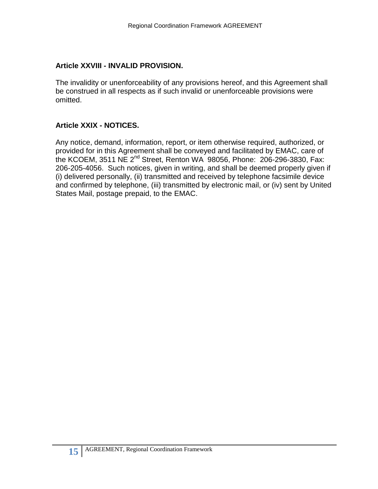#### **Article XXVIII - INVALID PROVISION.**

The invalidity or unenforceability of any provisions hereof, and this Agreement shall be construed in all respects as if such invalid or unenforceable provisions were omitted.

#### **Article XXIX - NOTICES.**

Any notice, demand, information, report, or item otherwise required, authorized, or provided for in this Agreement shall be conveyed and facilitated by EMAC, care of the KCOEM, 3511 NE 2nd Street, Renton WA 98056, Phone: 206-296-3830, Fax: 206-205-4056. Such notices, given in writing, and shall be deemed properly given if (i) delivered personally, (ii) transmitted and received by telephone facsimile device and confirmed by telephone, (iii) transmitted by electronic mail, or (iv) sent by United States Mail, postage prepaid, to the EMAC.